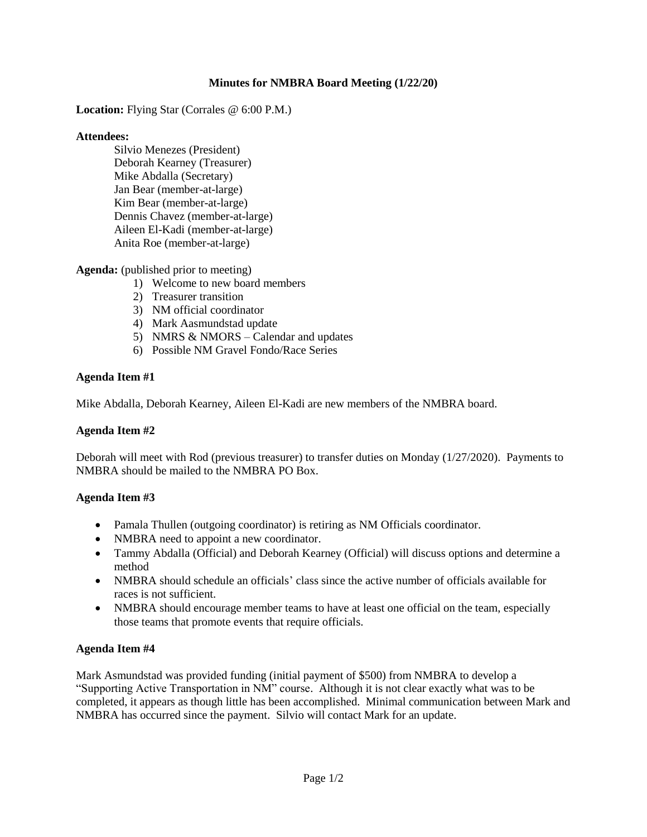## **Minutes for NMBRA Board Meeting (1/22/20)**

**Location:** Flying Star (Corrales @ 6:00 P.M.)

### **Attendees:**

Silvio Menezes (President) Deborah Kearney (Treasurer) Mike Abdalla (Secretary) Jan Bear (member-at-large) Kim Bear (member-at-large) Dennis Chavez (member-at-large) Aileen El-Kadi (member-at-large) Anita Roe (member-at-large)

**Agenda:** (published prior to meeting)

- 1) Welcome to new board members
- 2) Treasurer transition
- 3) NM official coordinator
- 4) Mark Aasmundstad update
- 5) NMRS & NMORS Calendar and updates
- 6) Possible NM Gravel Fondo/Race Series

### **Agenda Item #1**

Mike Abdalla, Deborah Kearney, Aileen El-Kadi are new members of the NMBRA board.

### **Agenda Item #2**

Deborah will meet with Rod (previous treasurer) to transfer duties on Monday (1/27/2020). Payments to NMBRA should be mailed to the NMBRA PO Box.

### **Agenda Item #3**

- Pamala Thullen (outgoing coordinator) is retiring as NM Officials coordinator.
- NMBRA need to appoint a new coordinator.
- Tammy Abdalla (Official) and Deborah Kearney (Official) will discuss options and determine a method
- NMBRA should schedule an officials' class since the active number of officials available for races is not sufficient.
- NMBRA should encourage member teams to have at least one official on the team, especially those teams that promote events that require officials.

### **Agenda Item #4**

Mark Asmundstad was provided funding (initial payment of \$500) from NMBRA to develop a "Supporting Active Transportation in NM" course. Although it is not clear exactly what was to be completed, it appears as though little has been accomplished. Minimal communication between Mark and NMBRA has occurred since the payment. Silvio will contact Mark for an update.